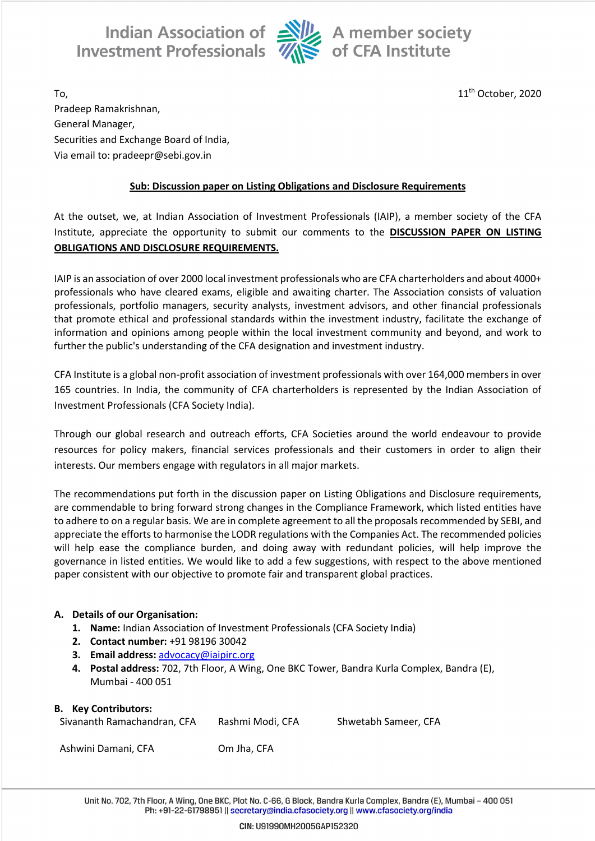Indian Association of Ally A member society<br>Investment Professionals **We of CFA** Institute



To, the contract of the contract of the contract of the contract of the contract of the contract of the contract of the contract of the contract of the contract of the contract of the contract of the contract of the contra Pradeep Ramakrishnan, General Manager, Securities and Exchange Board of India, Via email to: pradeepr@sebi.gov.in

## **Sub: Discussion paper on Listing Obligations and Disclosure Requirements**

At the outset, we, at Indian Association of Investment Professionals (IAIP), a member society of the CFA Institute, appreciate the opportunity to submit our comments to the **DISCUSSION PAPER ON LISTING OBLIGATIONS AND DISCLOSURE REQUIREMENTS.**

IAIP is an association of over 2000 local investment professionals who are CFA charterholders and about 4000+ professionals who have cleared exams, eligible and awaiting charter. The Association consists of valuation professionals, portfolio managers, security analysts, investment advisors, and other financial professionals that promote ethical and professional standards within the investment industry, facilitate the exchange of information and opinions among people within the local investment community and beyond, and work to further the public's understanding of the CFA designation and investment industry.

CFA Institute is a global non-profit association of investment professionals with over 164,000 members in over 165 countries. In India, the community of CFA charterholders is represented by the Indian Association of Investment Professionals (CFA Society India).

Through our global research and outreach efforts, CFA Societies around the world endeavour to provide resources for policy makers, financial services professionals and their customers in order to align their interests. Our members engage with regulators in all major markets.

The recommendations put forth in the discussion paper on Listing Obligations and Disclosure requirements, are commendable to bring forward strong changes in the Compliance Framework, which listed entities have to adhere to on a regular basis. We are in complete agreement to all the proposals recommended by SEBI, and appreciate the efforts to harmonise the LODR regulations with the Companies Act. The recommended policies will help ease the compliance burden, and doing away with redundant policies, will help improve the governance in listed entities. We would like to add a few suggestions, with respect to the above mentioned paper consistent with our objective to promote fair and transparent global practices.

## **A. Details of our Organisation:**

- **1. Name:** Indian Association of Investment Professionals (CFA Society India)
- **2. Contact number:** +91 98196 30042
- **3. Email address:** advocacy@iaipirc.org
- **4. Postal address:** 702, 7th Floor, A Wing, One BKC Tower, Bandra Kurla Complex, Bandra (E), Mumbai - 400 051

## **B. Key Contributors:**

| Sivananth Ramachandran, CFA | Rashmi Modi, CFA | Shwetabh Sameer, CFA |
|-----------------------------|------------------|----------------------|
|-----------------------------|------------------|----------------------|

Ashwini Damani, CFA Om Jha, CFA

Unit No. 702, 7th Floor, A Wing, One BKC, Plot No. C-66, G Block, Bandra Kurla Complex, Bandra (E), Mumbai - 400 051 Ph: +91-22-61798951 || secretary@india.cfasociety.org || www.cfasociety.org/india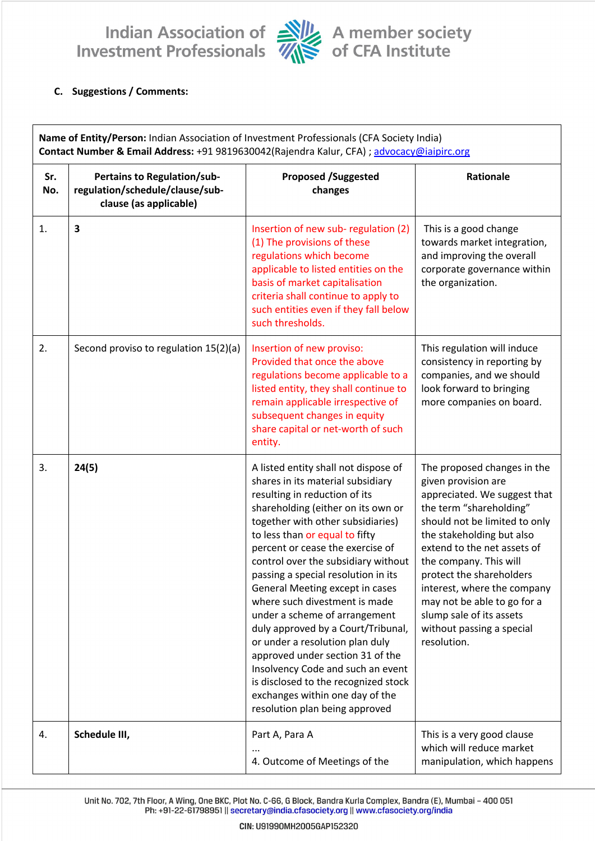Indian Association of Ally A member society<br>Investment Professionals Ally of CFA Institute



## C. Suggestions / Comments:

| Name of Entity/Person: Indian Association of Investment Professionals (CFA Society India)<br>Contact Number & Email Address: +91 9819630042(Rajendra Kalur, CFA) ; advocacy@iaipirc.org |                                                                                                 |                                                                                                                                                                                                                                                                                                                                                                                                                                                                                                                                                                                                                                                                                                               |                                                                                                                                                                                                                                                                                                                                                                                                        |  |  |
|-----------------------------------------------------------------------------------------------------------------------------------------------------------------------------------------|-------------------------------------------------------------------------------------------------|---------------------------------------------------------------------------------------------------------------------------------------------------------------------------------------------------------------------------------------------------------------------------------------------------------------------------------------------------------------------------------------------------------------------------------------------------------------------------------------------------------------------------------------------------------------------------------------------------------------------------------------------------------------------------------------------------------------|--------------------------------------------------------------------------------------------------------------------------------------------------------------------------------------------------------------------------------------------------------------------------------------------------------------------------------------------------------------------------------------------------------|--|--|
| Sr.<br>No.                                                                                                                                                                              | <b>Pertains to Regulation/sub-</b><br>regulation/schedule/clause/sub-<br>clause (as applicable) | <b>Proposed /Suggested</b><br>changes                                                                                                                                                                                                                                                                                                                                                                                                                                                                                                                                                                                                                                                                         | Rationale                                                                                                                                                                                                                                                                                                                                                                                              |  |  |
| 1.                                                                                                                                                                                      | 3                                                                                               | Insertion of new sub-regulation (2)<br>(1) The provisions of these<br>regulations which become<br>applicable to listed entities on the<br>basis of market capitalisation<br>criteria shall continue to apply to<br>such entities even if they fall below<br>such thresholds.                                                                                                                                                                                                                                                                                                                                                                                                                                  | This is a good change<br>towards market integration,<br>and improving the overall<br>corporate governance within<br>the organization.                                                                                                                                                                                                                                                                  |  |  |
| 2.                                                                                                                                                                                      | Second proviso to regulation 15(2)(a)                                                           | Insertion of new proviso:<br>Provided that once the above<br>regulations become applicable to a<br>listed entity, they shall continue to<br>remain applicable irrespective of<br>subsequent changes in equity<br>share capital or net-worth of such<br>entity.                                                                                                                                                                                                                                                                                                                                                                                                                                                | This regulation will induce<br>consistency in reporting by<br>companies, and we should<br>look forward to bringing<br>more companies on board.                                                                                                                                                                                                                                                         |  |  |
| 3.                                                                                                                                                                                      | 24(5)                                                                                           | A listed entity shall not dispose of<br>shares in its material subsidiary<br>resulting in reduction of its<br>shareholding (either on its own or<br>together with other subsidiaries)<br>to less than or equal to fifty<br>percent or cease the exercise of<br>control over the subsidiary without<br>passing a special resolution in its<br>General Meeting except in cases<br>where such divestment is made<br>under a scheme of arrangement<br>duly approved by a Court/Tribunal,<br>or under a resolution plan duly<br>approved under section 31 of the<br>Insolvency Code and such an event<br>is disclosed to the recognized stock<br>exchanges within one day of the<br>resolution plan being approved | The proposed changes in the<br>given provision are<br>appreciated. We suggest that<br>the term "shareholding"<br>should not be limited to only<br>the stakeholding but also<br>extend to the net assets of<br>the company. This will<br>protect the shareholders<br>interest, where the company<br>may not be able to go for a<br>slump sale of its assets<br>without passing a special<br>resolution. |  |  |
| 4.                                                                                                                                                                                      | Schedule III,                                                                                   | Part A, Para A<br>4. Outcome of Meetings of the                                                                                                                                                                                                                                                                                                                                                                                                                                                                                                                                                                                                                                                               | This is a very good clause<br>which will reduce market<br>manipulation, which happens                                                                                                                                                                                                                                                                                                                  |  |  |

Unit No. 702, 7th Floor, A Wing, One BKC, Plot No. C-66, G Block, Bandra Kurla Complex, Bandra (E), Mumbai - 400 051 Ph: +91-22-61798951 || secretary@india.cfasociety.org || www.cfasociety.org/india